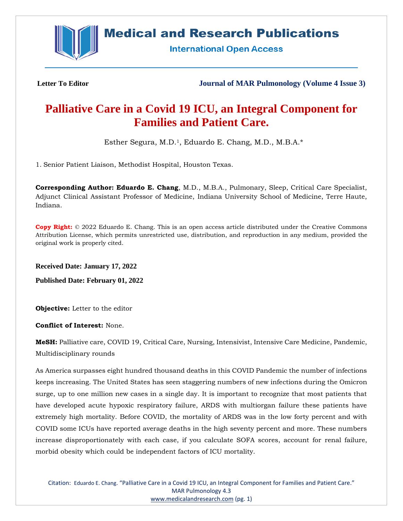

# **Medical and Research Publications**

**International Open Access** 

**Letter To Editor Journal of MAR Pulmonology (Volume 4 Issue 3)**

# **Palliative Care in a Covid 19 ICU, an Integral Component for Families and Patient Care.**

Esther Segura, M.D.1, Eduardo E. Chang, M.D., M.B.A.\*

1. Senior Patient Liaison, Methodist Hospital, Houston Texas.

**Corresponding Author: Eduardo E. Chang**, M.D., M.B.A., Pulmonary, Sleep, Critical Care Specialist, Adjunct Clinical Assistant Professor of Medicine, Indiana University School of Medicine, Terre Haute, Indiana.

**Copy Right:** © 2022 Eduardo E. Chang. This is an open access article distributed under the Creative Commons Attribution License, which permits unrestricted use, distribution, and reproduction in any medium, provided the original work is properly cited.

**Received Date: January 17, 2022**

**Published Date: February 01, 2022**

**Objective:** Letter to the editor

**Conflict of Interest:** None.

**MeSH:** Palliative care, COVID 19, Critical Care, Nursing, Intensivist, Intensive Care Medicine, Pandemic, Multidisciplinary rounds

As America surpasses eight hundred thousand deaths in this COVID Pandemic the number of infections keeps increasing. The United States has seen staggering numbers of new infections during the Omicron surge, up to one million new cases in a single day. It is important to recognize that most patients that have developed acute hypoxic respiratory failure, ARDS with multiorgan failure these patients have extremely high mortality. Before COVID, the mortality of ARDS was in the low forty percent and with COVID some ICUs have reported average deaths in the high seventy percent and more. These numbers increase disproportionately with each case, if you calculate SOFA scores, account for renal failure, morbid obesity which could be independent factors of ICU mortality.

Citation: Eduardo E. Chang. "Palliative Care in a Covid 19 ICU, an Integral Component for Families and Patient Care." MAR Pulmonology 4.3 [www.medicalandresearch.com](http://www.medicalandresearch.com/) (pg. 1)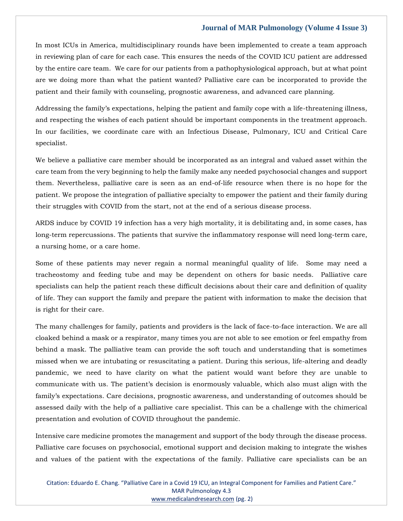#### **Journal of MAR Pulmonology (Volume 4 Issue 3)**

In most ICUs in America, multidisciplinary rounds have been implemented to create a team approach in reviewing plan of care for each case. This ensures the needs of the COVID ICU patient are addressed by the entire care team. We care for our patients from a pathophysiological approach, but at what point are we doing more than what the patient wanted? Palliative care can be incorporated to provide the patient and their family with counseling, prognostic awareness, and advanced care planning.

Addressing the family's expectations, helping the patient and family cope with a life-threatening illness, and respecting the wishes of each patient should be important components in the treatment approach. In our facilities, we coordinate care with an Infectious Disease, Pulmonary, ICU and Critical Care specialist.

We believe a palliative care member should be incorporated as an integral and valued asset within the care team from the very beginning to help the family make any needed psychosocial changes and support them. Nevertheless, palliative care is seen as an end-of-life resource when there is no hope for the patient. We propose the integration of palliative specialty to empower the patient and their family during their struggles with COVID from the start, not at the end of a serious disease process.

ARDS induce by COVID 19 infection has a very high mortality, it is debilitating and, in some cases, has long-term repercussions. The patients that survive the inflammatory response will need long-term care, a nursing home, or a care home.

Some of these patients may never regain a normal meaningful quality of life. Some may need a tracheostomy and feeding tube and may be dependent on others for basic needs. Palliative care specialists can help the patient reach these difficult decisions about their care and definition of quality of life. They can support the family and prepare the patient with information to make the decision that is right for their care.

The many challenges for family, patients and providers is the lack of face-to-face interaction. We are all cloaked behind a mask or a respirator, many times you are not able to see emotion or feel empathy from behind a mask. The palliative team can provide the soft touch and understanding that is sometimes missed when we are intubating or resuscitating a patient. During this serious, life-altering and deadly pandemic, we need to have clarity on what the patient would want before they are unable to communicate with us. The patient's decision is enormously valuable, which also must align with the family's expectations. Care decisions, prognostic awareness, and understanding of outcomes should be assessed daily with the help of a palliative care specialist. This can be a challenge with the chimerical presentation and evolution of COVID throughout the pandemic.

Intensive care medicine promotes the management and support of the body through the disease process. Palliative care focuses on psychosocial, emotional support and decision making to integrate the wishes and values of the patient with the expectations of the family. Palliative care specialists can be an